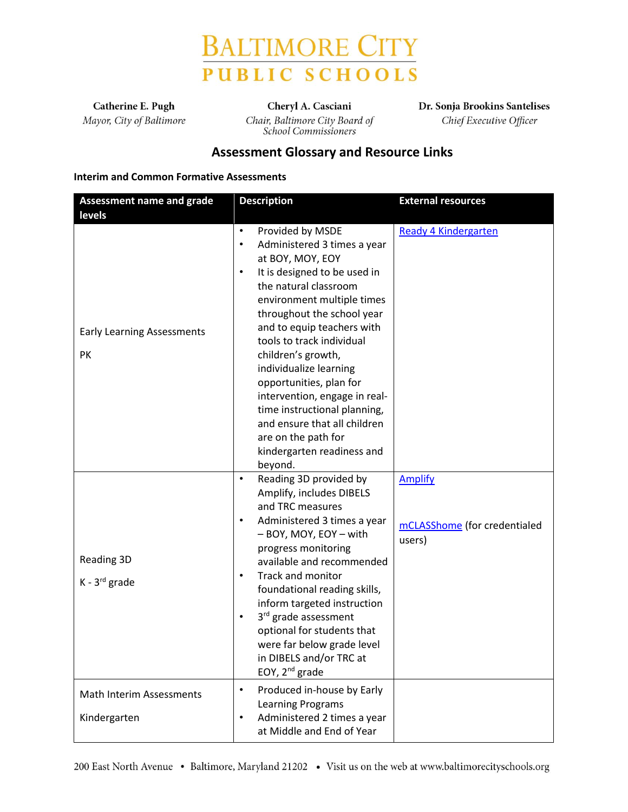

Catherine E. Pugh Mayor, City of Baltimore

Cheryl A. Casciani Chair, Baltimore City Board of **School Commissioners** 

Dr. Sonja Brookins Santelises Chief Executive Officer

# **Assessment Glossary and Resource Links**

#### **Interim and Common Formative Assessments**

| <b>Assessment name and grade</b>         | <b>Description</b>                                                                                                                                                                                                                                                                                                                                                                                                                                                                                                                     | <b>External resources</b>                                |
|------------------------------------------|----------------------------------------------------------------------------------------------------------------------------------------------------------------------------------------------------------------------------------------------------------------------------------------------------------------------------------------------------------------------------------------------------------------------------------------------------------------------------------------------------------------------------------------|----------------------------------------------------------|
| levels                                   |                                                                                                                                                                                                                                                                                                                                                                                                                                                                                                                                        |                                                          |
| <b>Early Learning Assessments</b><br>PK  | $\bullet$<br>Provided by MSDE<br>Administered 3 times a year<br>$\bullet$<br>at BOY, MOY, EOY<br>It is designed to be used in<br>$\bullet$<br>the natural classroom<br>environment multiple times<br>throughout the school year<br>and to equip teachers with<br>tools to track individual<br>children's growth,<br>individualize learning<br>opportunities, plan for<br>intervention, engage in real-<br>time instructional planning,<br>and ensure that all children<br>are on the path for<br>kindergarten readiness and<br>beyond. | Ready 4 Kindergarten                                     |
| Reading 3D<br>K - 3rd grade              | Reading 3D provided by<br>$\bullet$<br>Amplify, includes DIBELS<br>and TRC measures<br>Administered 3 times a year<br>$\bullet$<br>- BOY, MOY, EOY - with<br>progress monitoring<br>available and recommended<br>Track and monitor<br>$\bullet$<br>foundational reading skills,<br>inform targeted instruction<br>3rd grade assessment<br>$\bullet$<br>optional for students that<br>were far below grade level<br>in DIBELS and/or TRC at<br>EOY, 2 <sup>nd</sup> grade                                                               | <b>Amplify</b><br>mCLASShome (for credentialed<br>users) |
| Math Interim Assessments<br>Kindergarten | Produced in-house by Early<br>$\bullet$<br>Learning Programs<br>Administered 2 times a year<br>$\bullet$<br>at Middle and End of Year                                                                                                                                                                                                                                                                                                                                                                                                  |                                                          |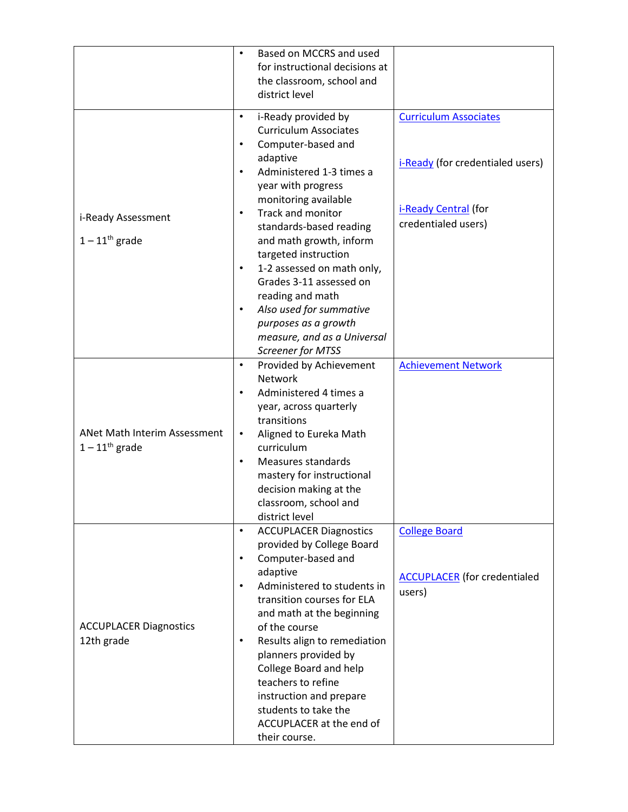|                                                              | Based on MCCRS and used<br>$\bullet$<br>for instructional decisions at<br>the classroom, school and<br>district level                                                                                                                                                                                                                                                                                                                                                                                                                       |                                                                                                                 |
|--------------------------------------------------------------|---------------------------------------------------------------------------------------------------------------------------------------------------------------------------------------------------------------------------------------------------------------------------------------------------------------------------------------------------------------------------------------------------------------------------------------------------------------------------------------------------------------------------------------------|-----------------------------------------------------------------------------------------------------------------|
| i-Ready Assessment<br>$1 - 11$ <sup>th</sup> grade           | i-Ready provided by<br>$\bullet$<br><b>Curriculum Associates</b><br>Computer-based and<br>$\bullet$<br>adaptive<br>Administered 1-3 times a<br>$\bullet$<br>year with progress<br>monitoring available<br>Track and monitor<br>$\bullet$<br>standards-based reading<br>and math growth, inform<br>targeted instruction<br>1-2 assessed on math only,<br>$\bullet$<br>Grades 3-11 assessed on<br>reading and math<br>Also used for summative<br>$\bullet$<br>purposes as a growth<br>measure, and as a Universal<br><b>Screener for MTSS</b> | <b>Curriculum Associates</b><br>i-Ready (for credentialed users)<br>i-Ready Central (for<br>credentialed users) |
| ANet Math Interim Assessment<br>$1 - 11$ <sup>th</sup> grade | Provided by Achievement<br>$\bullet$<br><b>Network</b><br>Administered 4 times a<br>$\bullet$<br>year, across quarterly<br>transitions<br>Aligned to Eureka Math<br>$\bullet$<br>curriculum<br>Measures standards<br>$\bullet$<br>mastery for instructional<br>decision making at the<br>classroom, school and<br>district level                                                                                                                                                                                                            | <b>Achievement Network</b>                                                                                      |
| <b>ACCUPLACER Diagnostics</b><br>12th grade                  | <b>ACCUPLACER Diagnostics</b><br>$\bullet$<br>provided by College Board<br>Computer-based and<br>$\bullet$<br>adaptive<br>Administered to students in<br>$\bullet$<br>transition courses for ELA<br>and math at the beginning<br>of the course<br>Results align to remediation<br>$\bullet$<br>planners provided by<br>College Board and help<br>teachers to refine<br>instruction and prepare<br>students to take the<br>ACCUPLACER at the end of<br>their course.                                                                         | <b>College Board</b><br><b>ACCUPLACER</b> (for credentialed<br>users)                                           |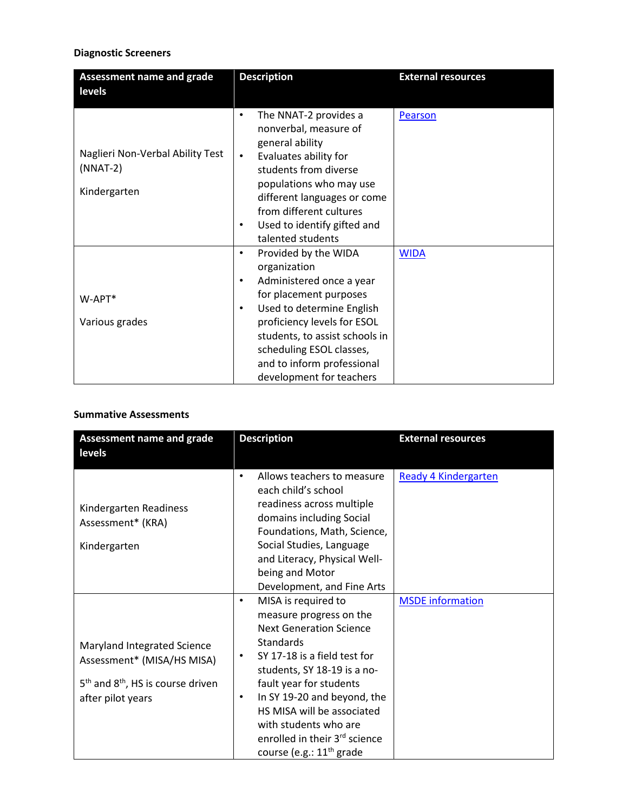## **Diagnostic Screeners**

| <b>Assessment name and grade</b><br>levels                     | <b>Description</b>                                                                                                                                                                                                                                                                                            | <b>External resources</b> |
|----------------------------------------------------------------|---------------------------------------------------------------------------------------------------------------------------------------------------------------------------------------------------------------------------------------------------------------------------------------------------------------|---------------------------|
|                                                                |                                                                                                                                                                                                                                                                                                               |                           |
| Naglieri Non-Verbal Ability Test<br>$(NNAT-2)$<br>Kindergarten | The NNAT-2 provides a<br>nonverbal, measure of<br>general ability<br>Evaluates ability for<br>$\bullet$<br>students from diverse<br>populations who may use<br>different languages or come<br>from different cultures<br>Used to identify gifted and<br>٠<br>talented students                                | Pearson                   |
| $W-APT*$<br>Various grades                                     | Provided by the WIDA<br>$\bullet$<br>organization<br>Administered once a year<br>٠<br>for placement purposes<br>Used to determine English<br>$\bullet$<br>proficiency levels for ESOL<br>students, to assist schools in<br>scheduling ESOL classes,<br>and to inform professional<br>development for teachers | <b>WIDA</b>               |

#### **Summative Assessments**

| <b>Assessment name and grade</b>                                                                                        | <b>Description</b>                                                                                                                                                                                                                                                                                                                                                                         | <b>External resources</b>   |
|-------------------------------------------------------------------------------------------------------------------------|--------------------------------------------------------------------------------------------------------------------------------------------------------------------------------------------------------------------------------------------------------------------------------------------------------------------------------------------------------------------------------------------|-----------------------------|
| levels                                                                                                                  |                                                                                                                                                                                                                                                                                                                                                                                            |                             |
| Kindergarten Readiness<br>Assessment* (KRA)<br>Kindergarten                                                             | Allows teachers to measure<br>$\bullet$<br>each child's school<br>readiness across multiple<br>domains including Social<br>Foundations, Math, Science,<br>Social Studies, Language<br>and Literacy, Physical Well-<br>being and Motor<br>Development, and Fine Arts                                                                                                                        | <b>Ready 4 Kindergarten</b> |
| Maryland Integrated Science<br>Assessment* (MISA/HS MISA)<br>$5th$ and $8th$ , HS is course driven<br>after pilot years | MISA is required to<br>$\bullet$<br>measure progress on the<br><b>Next Generation Science</b><br><b>Standards</b><br>SY 17-18 is a field test for<br>$\bullet$<br>students, SY 18-19 is a no-<br>fault year for students<br>In SY 19-20 and beyond, the<br>$\bullet$<br>HS MISA will be associated<br>with students who are<br>enrolled in their 3rd science<br>course (e.g.: $11th$ grade | <b>MSDE</b> information     |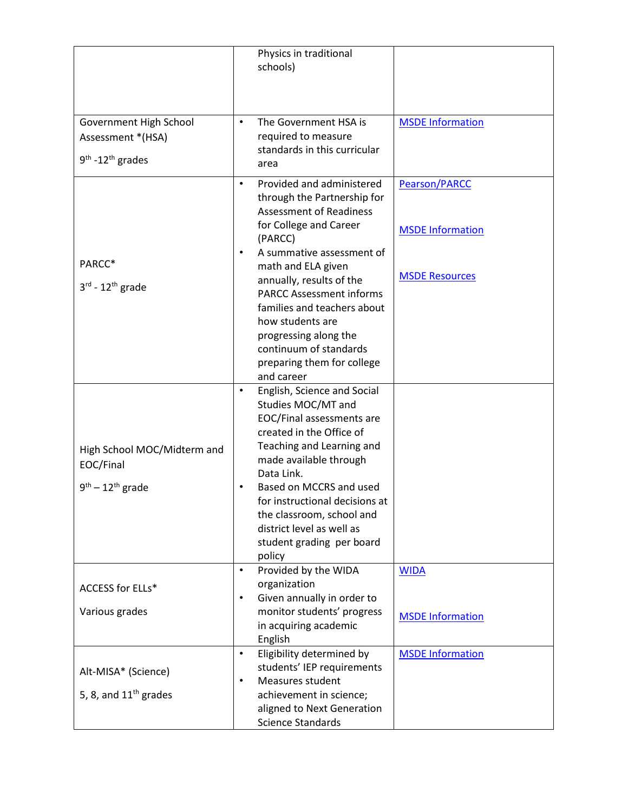|                                                                    | Physics in traditional<br>schools)                                                                                                                                                                                                  |                                          |
|--------------------------------------------------------------------|-------------------------------------------------------------------------------------------------------------------------------------------------------------------------------------------------------------------------------------|------------------------------------------|
| Government High School<br>Assessment *(HSA)<br>$9th - 12th$ grades | The Government HSA is<br>$\bullet$<br>required to measure<br>standards in this curricular<br>area                                                                                                                                   | <b>MSDE Information</b>                  |
|                                                                    | Provided and administered<br>$\bullet$<br>through the Partnership for<br><b>Assessment of Readiness</b><br>for College and Career<br>(PARCC)<br>A summative assessment of<br>$\bullet$                                              | Pearson/PARCC<br><b>MSDE Information</b> |
| PARCC*<br>$3^{\text{rd}}$ - 12 <sup>th</sup> grade                 | math and ELA given<br>annually, results of the<br><b>PARCC Assessment informs</b><br>families and teachers about<br>how students are<br>progressing along the<br>continuum of standards<br>preparing them for college<br>and career | <b>MSDE Resources</b>                    |
| High School MOC/Midterm and<br>EOC/Final                           | English, Science and Social<br>$\bullet$<br>Studies MOC/MT and<br>EOC/Final assessments are<br>created in the Office of<br>Teaching and Learning and<br>made available through<br>Data Link.                                        |                                          |
| $9th - 12th$ grade                                                 | Based on MCCRS and used<br>for instructional decisions at<br>the classroom, school and<br>district level as well as<br>student grading per board<br>policy                                                                          |                                          |
| <b>ACCESS for ELLs*</b>                                            | Provided by the WIDA<br>$\bullet$<br>organization<br>Given annually in order to<br>$\bullet$                                                                                                                                        | <b>WIDA</b>                              |
| Various grades                                                     | monitor students' progress<br>in acquiring academic<br>English                                                                                                                                                                      | <b>MSDE Information</b>                  |
| Alt-MISA* (Science)<br>5, 8, and $11th$ grades                     | Eligibility determined by<br>$\bullet$<br>students' IEP requirements<br>Measures student<br>$\bullet$<br>achievement in science;<br>aligned to Next Generation<br><b>Science Standards</b>                                          | <b>MSDE Information</b>                  |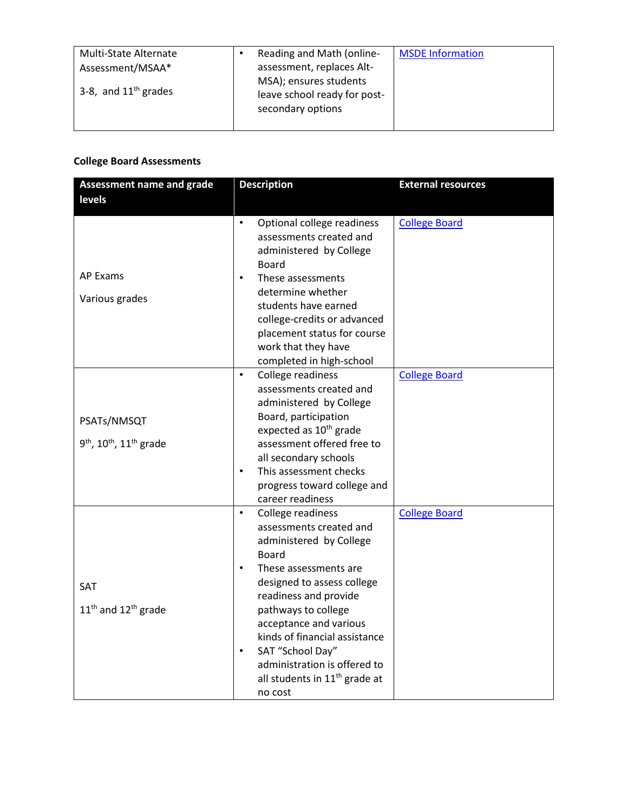| Multi-State Alternate  | Reading and Math (online-                                                   | <b>MSDE Information</b> |
|------------------------|-----------------------------------------------------------------------------|-------------------------|
| Assessment/MSAA*       | assessment, replaces Alt-                                                   |                         |
| 3-8, and $11th$ grades | MSA); ensures students<br>leave school ready for post-<br>secondary options |                         |
|                        |                                                                             |                         |

## **College Board Assessments**

| <b>Assessment name and grade</b>                                           | <b>Description</b>                                                                                                                                                                                                                                                                                                                                                                                           | <b>External resources</b> |
|----------------------------------------------------------------------------|--------------------------------------------------------------------------------------------------------------------------------------------------------------------------------------------------------------------------------------------------------------------------------------------------------------------------------------------------------------------------------------------------------------|---------------------------|
| levels                                                                     |                                                                                                                                                                                                                                                                                                                                                                                                              |                           |
|                                                                            | $\bullet$<br>Optional college readiness<br>assessments created and<br>administered by College<br><b>Board</b>                                                                                                                                                                                                                                                                                                | <b>College Board</b>      |
| <b>AP Exams</b><br>Various grades                                          | These assessments<br>$\bullet$<br>determine whether<br>students have earned<br>college-credits or advanced<br>placement status for course<br>work that they have<br>completed in high-school                                                                                                                                                                                                                 |                           |
| PSATs/NMSQT<br>9 <sup>th</sup> , 10 <sup>th</sup> , 11 <sup>th</sup> grade | College readiness<br>$\bullet$<br>assessments created and<br>administered by College<br>Board, participation<br>expected as 10 <sup>th</sup> grade<br>assessment offered free to<br>all secondary schools<br>This assessment checks<br>$\bullet$<br>progress toward college and<br>career readiness                                                                                                          | <b>College Board</b>      |
| <b>SAT</b><br>11 <sup>th</sup> and 12 <sup>th</sup> grade                  | College readiness<br>$\bullet$<br>assessments created and<br>administered by College<br><b>Board</b><br>These assessments are<br>$\bullet$<br>designed to assess college<br>readiness and provide<br>pathways to college<br>acceptance and various<br>kinds of financial assistance<br>SAT "School Day"<br>$\bullet$<br>administration is offered to<br>all students in 11 <sup>th</sup> grade at<br>no cost | <b>College Board</b>      |